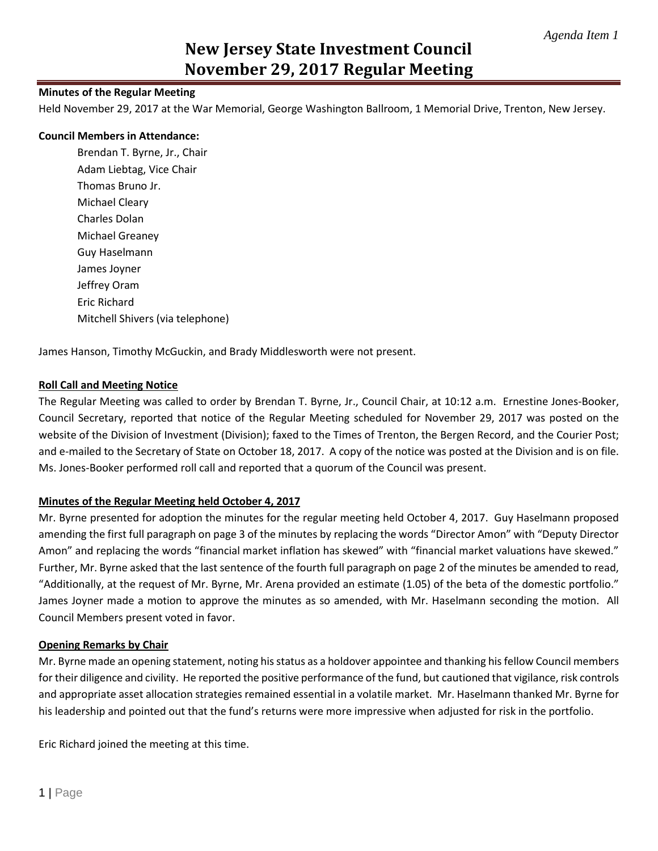# **New Jersey State Investment Council November 29, 2017 Regular Meeting**

#### **Minutes of the Regular Meeting**

Held November 29, 2017 at the War Memorial, George Washington Ballroom, 1 Memorial Drive, Trenton, New Jersey.

#### **Council Members in Attendance:**

Brendan T. Byrne, Jr., Chair Adam Liebtag, Vice Chair Thomas Bruno Jr. Michael Cleary Charles Dolan Michael Greaney Guy Haselmann James Joyner Jeffrey Oram Eric Richard Mitchell Shivers (via telephone)

James Hanson, Timothy McGuckin, and Brady Middlesworth were not present.

#### **Roll Call and Meeting Notice**

The Regular Meeting was called to order by Brendan T. Byrne, Jr., Council Chair, at 10:12 a.m. Ernestine Jones-Booker, Council Secretary, reported that notice of the Regular Meeting scheduled for November 29, 2017 was posted on the website of the Division of Investment (Division); faxed to the Times of Trenton, the Bergen Record, and the Courier Post; and e-mailed to the Secretary of State on October 18, 2017. A copy of the notice was posted at the Division and is on file. Ms. Jones-Booker performed roll call and reported that a quorum of the Council was present.

#### **Minutes of the Regular Meeting held October 4, 2017**

Mr. Byrne presented for adoption the minutes for the regular meeting held October 4, 2017. Guy Haselmann proposed amending the first full paragraph on page 3 of the minutes by replacing the words "Director Amon" with "Deputy Director Amon" and replacing the words "financial market inflation has skewed" with "financial market valuations have skewed." Further, Mr. Byrne asked that the last sentence of the fourth full paragraph on page 2 of the minutes be amended to read, "Additionally, at the request of Mr. Byrne, Mr. Arena provided an estimate (1.05) of the beta of the domestic portfolio." James Joyner made a motion to approve the minutes as so amended, with Mr. Haselmann seconding the motion. All Council Members present voted in favor.

#### **Opening Remarks by Chair**

Mr. Byrne made an opening statement, noting his status as a holdover appointee and thanking his fellow Council members for their diligence and civility. He reported the positive performance of the fund, but cautioned that vigilance, risk controls and appropriate asset allocation strategies remained essential in a volatile market. Mr. Haselmann thanked Mr. Byrne for his leadership and pointed out that the fund's returns were more impressive when adjusted for risk in the portfolio.

Eric Richard joined the meeting at this time.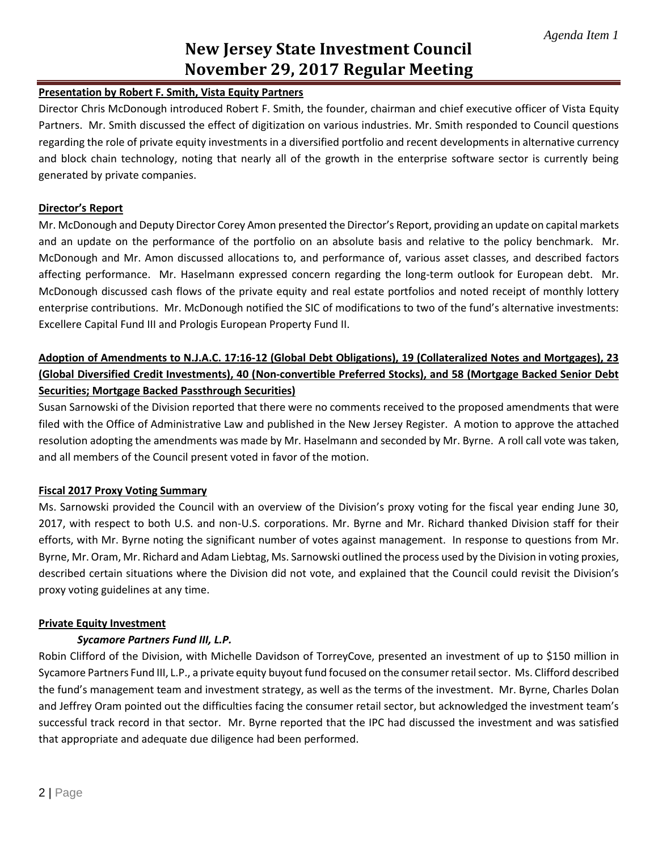# **New Jersey State Investment Council November 29, 2017 Regular Meeting**

### **Presentation by Robert F. Smith, Vista Equity Partners**

Director Chris McDonough introduced Robert F. Smith, the founder, chairman and chief executive officer of Vista Equity Partners. Mr. Smith discussed the effect of digitization on various industries. Mr. Smith responded to Council questions regarding the role of private equity investments in a diversified portfolio and recent developments in alternative currency and block chain technology, noting that nearly all of the growth in the enterprise software sector is currently being generated by private companies.

#### **Director's Report**

Mr. McDonough and Deputy Director Corey Amon presented the Director's Report, providing an update on capital markets and an update on the performance of the portfolio on an absolute basis and relative to the policy benchmark. Mr. McDonough and Mr. Amon discussed allocations to, and performance of, various asset classes, and described factors affecting performance. Mr. Haselmann expressed concern regarding the long-term outlook for European debt. Mr. McDonough discussed cash flows of the private equity and real estate portfolios and noted receipt of monthly lottery enterprise contributions. Mr. McDonough notified the SIC of modifications to two of the fund's alternative investments: Excellere Capital Fund III and Prologis European Property Fund II.

# **Adoption of Amendments to N.J.A.C. 17:16-12 (Global Debt Obligations), 19 (Collateralized Notes and Mortgages), 23 (Global Diversified Credit Investments), 40 (Non-convertible Preferred Stocks), and 58 (Mortgage Backed Senior Debt Securities; Mortgage Backed Passthrough Securities)**

Susan Sarnowski of the Division reported that there were no comments received to the proposed amendments that were filed with the Office of Administrative Law and published in the New Jersey Register. A motion to approve the attached resolution adopting the amendments was made by Mr. Haselmann and seconded by Mr. Byrne. A roll call vote was taken, and all members of the Council present voted in favor of the motion.

#### **Fiscal 2017 Proxy Voting Summary**

Ms. Sarnowski provided the Council with an overview of the Division's proxy voting for the fiscal year ending June 30, 2017, with respect to both U.S. and non-U.S. corporations. Mr. Byrne and Mr. Richard thanked Division staff for their efforts, with Mr. Byrne noting the significant number of votes against management. In response to questions from Mr. Byrne, Mr. Oram, Mr. Richard and Adam Liebtag, Ms. Sarnowski outlined the process used by the Division in voting proxies, described certain situations where the Division did not vote, and explained that the Council could revisit the Division's proxy voting guidelines at any time.

#### **Private Equity Investment**

#### *Sycamore Partners Fund III, L.P.*

Robin Clifford of the Division, with Michelle Davidson of TorreyCove, presented an investment of up to \$150 million in Sycamore Partners Fund III, L.P., a private equity buyout fund focused on the consumer retail sector. Ms. Clifford described the fund's management team and investment strategy, as well as the terms of the investment. Mr. Byrne, Charles Dolan and Jeffrey Oram pointed out the difficulties facing the consumer retail sector, but acknowledged the investment team's successful track record in that sector. Mr. Byrne reported that the IPC had discussed the investment and was satisfied that appropriate and adequate due diligence had been performed.